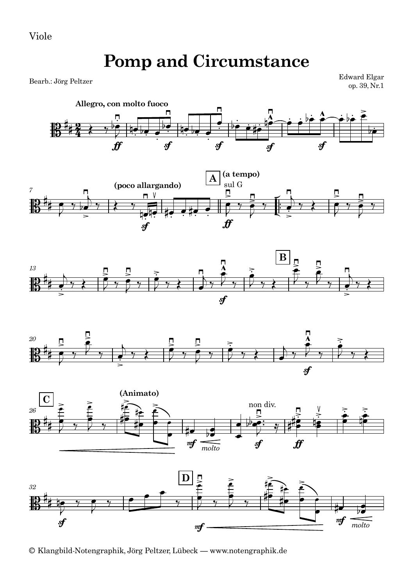## **Pomp and Circumstance**

Bearb.: Jörg Peltzer

Edward Elgar op. 39, Nr.1













<sup>©</sup> Klangbild-Notengraphik, Jörg Peltzer, Lübeck — www.notengraphik.de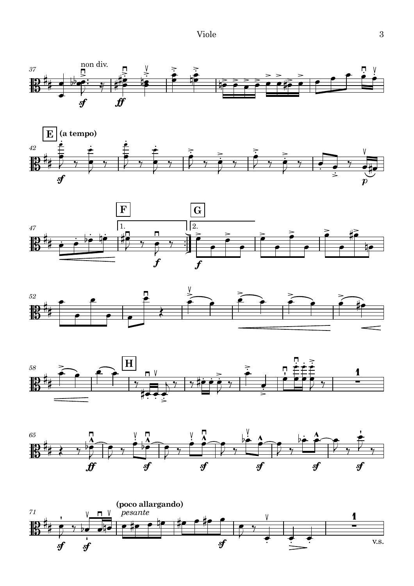











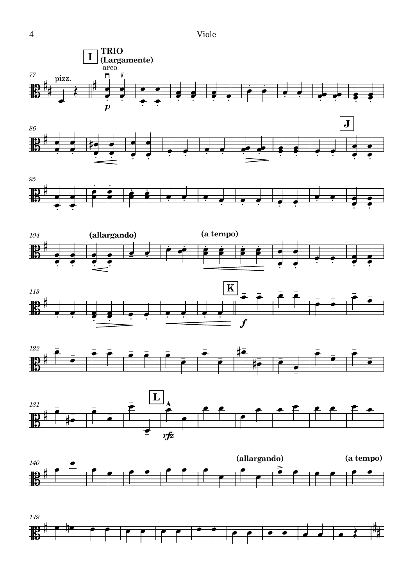















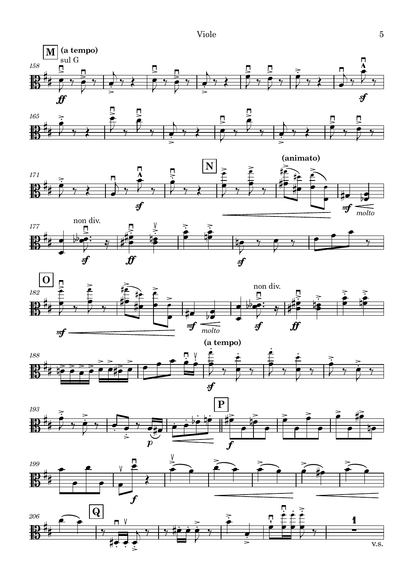